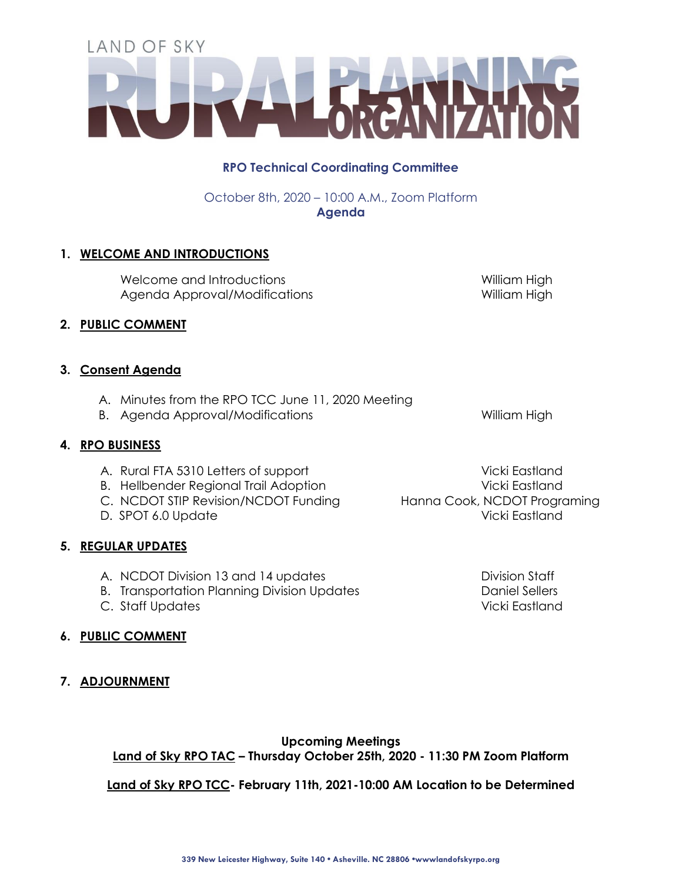# **RPO Technical Coordinating Committee**

October 8th, 2020 – 10:00 A.M., Zoom Platform **Agenda**

# **1. WELCOME AND INTRODUCTIONS**

Welcome and Introductions Welcome and Introductions And Mulliam High Agenda Approval/Modifications 
William High

### **2. PUBLIC COMMENT**

## **3. Consent Agenda**

- A. Minutes from the RPO TCC June 11, 2020 Meeting
- B. Agenda Approval/Modifications and a series william High

## **4. RPO BUSINESS**

- A. Rural FTA 5310 Letters of support Vicki Eastland
- B. Hellbender Regional Trail Adoption and American Vicki Eastland
- C. NCDOT STIP Revision/NCDOT Funding Hanna Cook, NCDOT Programing
- 

## **5. REGULAR UPDATES**

- A. NCDOT Division 13 and 14 updates **Division Staff**
- B. Transportation Planning Division Updates **Daniel Sellers**
- C. Staff Updates Vicki Eastland
- **6. PUBLIC COMMENT**
- **7. ADJOURNMENT**

**Upcoming Meetings Land of Sky RPO TAC – Thursday October 25th, 2020 - 11:30 PM Zoom Platform**

**Land of Sky RPO TCC- February 11th, 2021-10:00 AM Location to be Determined**

D. SPOT 6.0 Update Vicki Eastland

**339 New Leicester Highway, Suite 140 • Asheville. NC 28806 •wwwlandofskyrpo.org**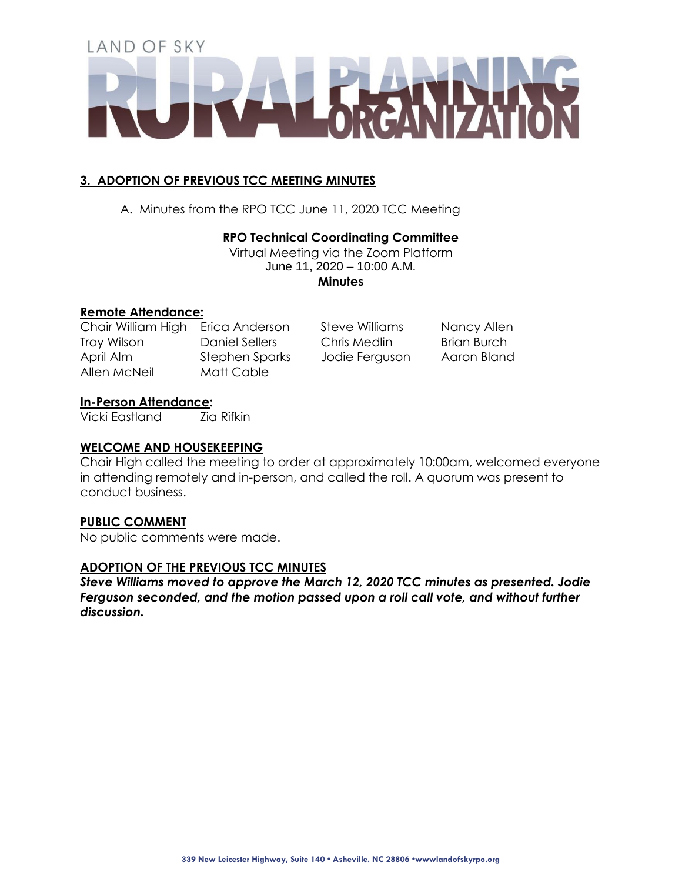# **3. ADOPTION OF PREVIOUS TCC MEETING MINUTES**

A. Minutes from the RPO TCC June 11, 2020 TCC Meeting

# **RPO Technical Coordinating Committee**

Virtual Meeting via the Zoom Platform June 11, 2020 – 10:00 A.M.

**Minutes**

## **Remote Attendance:**

Allen McNeil Matt Cable

Chair William High Erica Anderson Steve Williams Nancy Allen Troy Wilson **Daniel Sellers** Chris Medlin Brian Burch April Alm Stephen Sparks Jodie Ferguson Aaron Bland

## **In-Person Attendance:**

Vicki Eastland Zia Rifkin

## **WELCOME AND HOUSEKEEPING**

Chair High called the meeting to order at approximately 10:00am, welcomed everyone in attending remotely and in-person, and called the roll. A quorum was present to conduct business.

# **PUBLIC COMMENT**

No public comments were made.

## **ADOPTION OF THE PREVIOUS TCC MINUTES**

*Steve Williams moved to approve the March 12, 2020 TCC minutes as presented. Jodie Ferguson seconded, and the motion passed upon a roll call vote, and without further discussion.*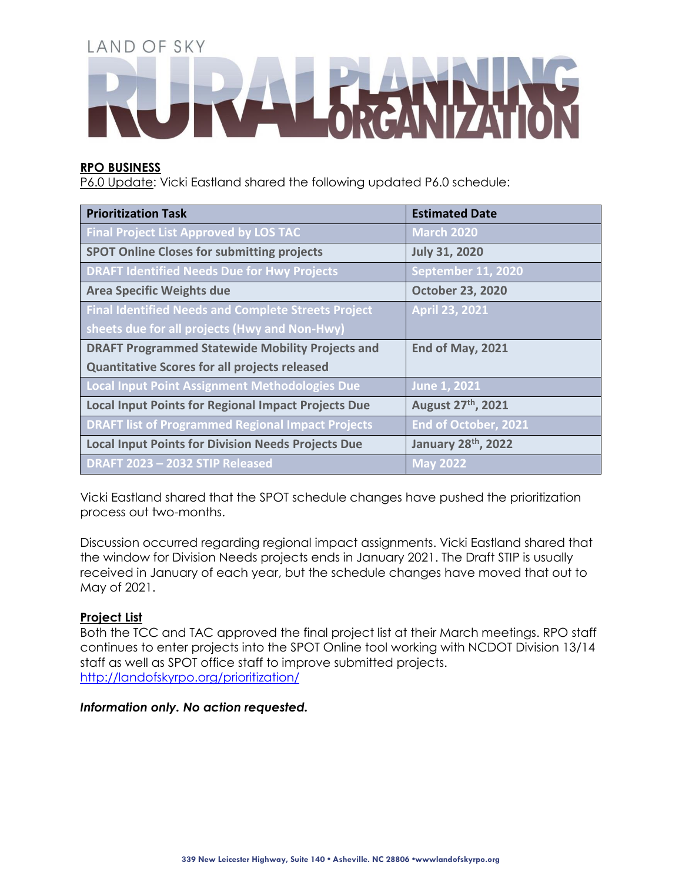## **RPO BUSINESS**

P6.0 Update: Vicki Eastland shared the following updated P6.0 schedule:

| <b>Prioritization Task</b>                                 | <b>Estimated Date</b>           |
|------------------------------------------------------------|---------------------------------|
| <b>Final Project List Approved by LOS TAC</b>              | <b>March 2020</b>               |
| <b>SPOT Online Closes for submitting projects</b>          | <b>July 31, 2020</b>            |
| <b>DRAFT Identified Needs Due for Hwy Projects</b>         | <b>September 11, 2020</b>       |
| <b>Area Specific Weights due</b>                           | <b>October 23, 2020</b>         |
| <b>Final Identified Needs and Complete Streets Project</b> | <b>April 23, 2021</b>           |
| sheets due for all projects (Hwy and Non-Hwy)              |                                 |
| <b>DRAFT Programmed Statewide Mobility Projects and</b>    | End of May, 2021                |
| <b>Quantitative Scores for all projects released</b>       |                                 |
| <b>Local Input Point Assignment Methodologies Due</b>      | June 1, 2021                    |
| <b>Local Input Points for Regional Impact Projects Due</b> | August 27 <sup>th</sup> , 2021  |
| <b>DRAFT list of Programmed Regional Impact Projects</b>   | End of October, 2021            |
| <b>Local Input Points for Division Needs Projects Due</b>  | January 28 <sup>th</sup> , 2022 |
| DRAFT 2023 - 2032 STIP Released                            | $\sqrt{2022}$                   |

Vicki Eastland shared that the SPOT schedule changes have pushed the prioritization process out two-months.

Discussion occurred regarding regional impact assignments. Vicki Eastland shared that the window for Division Needs projects ends in January 2021. The Draft STIP is usually received in January of each year, but the schedule changes have moved that out to May of 2021.

# **Project List**

Both the TCC and TAC approved the final project list at their March meetings. RPO staff continues to enter projects into the SPOT Online tool working with NCDOT Division 13/14 staff as well as SPOT office staff to improve submitted projects. <http://landofskyrpo.org/prioritization/>

## *Information only. No action requested.*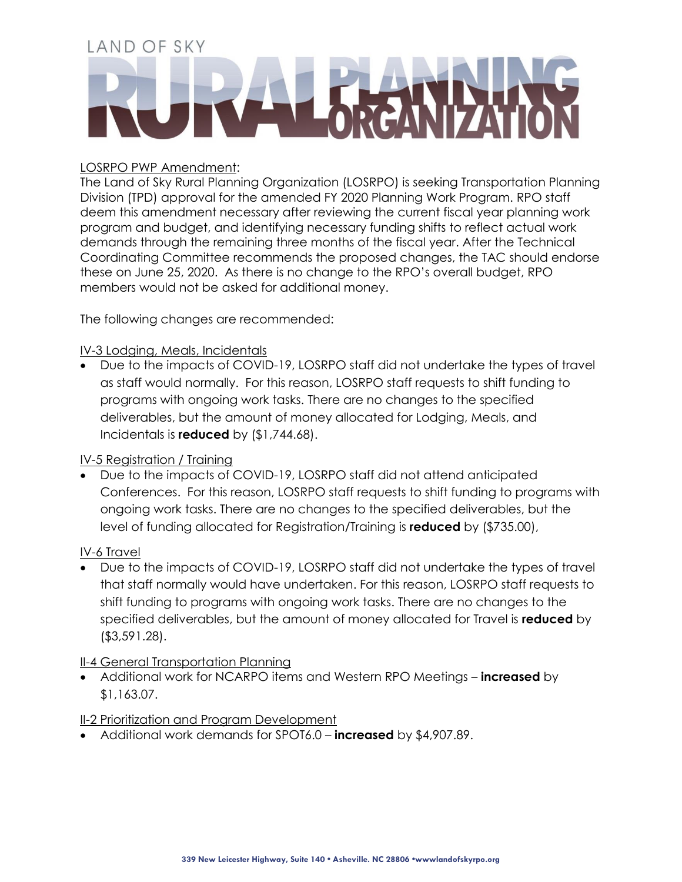## LOSRPO PWP Amendment:

The Land of Sky Rural Planning Organization (LOSRPO) is seeking Transportation Planning Division (TPD) approval for the amended FY 2020 Planning Work Program. RPO staff deem this amendment necessary after reviewing the current fiscal year planning work program and budget, and identifying necessary funding shifts to reflect actual work demands through the remaining three months of the fiscal year. After the Technical Coordinating Committee recommends the proposed changes, the TAC should endorse these on June 25, 2020. As there is no change to the RPO's overall budget, RPO members would not be asked for additional money.

The following changes are recommended:

# IV-3 Lodging, Meals, Incidentals

 Due to the impacts of COVID-19, LOSRPO staff did not undertake the types of travel as staff would normally. For this reason, LOSRPO staff requests to shift funding to programs with ongoing work tasks. There are no changes to the specified deliverables, but the amount of money allocated for Lodging, Meals, and Incidentals is **reduced** by (\$1,744.68).

# IV-5 Registration / Training

 Due to the impacts of COVID-19, LOSRPO staff did not attend anticipated Conferences. For this reason, LOSRPO staff requests to shift funding to programs with ongoing work tasks. There are no changes to the specified deliverables, but the level of funding allocated for Registration/Training is **reduced** by (\$735.00),

## IV-6 Travel

 Due to the impacts of COVID-19, LOSRPO staff did not undertake the types of travel that staff normally would have undertaken. For this reason, LOSRPO staff requests to shift funding to programs with ongoing work tasks. There are no changes to the specified deliverables, but the amount of money allocated for Travel is **reduced** by (\$3,591.28).

## II-4 General Transportation Planning

 Additional work for NCARPO items and Western RPO Meetings – **increased** by \$1,163.07.

# II-2 Prioritization and Program Development

Additional work demands for SPOT6.0 – **increased** by \$4,907.89.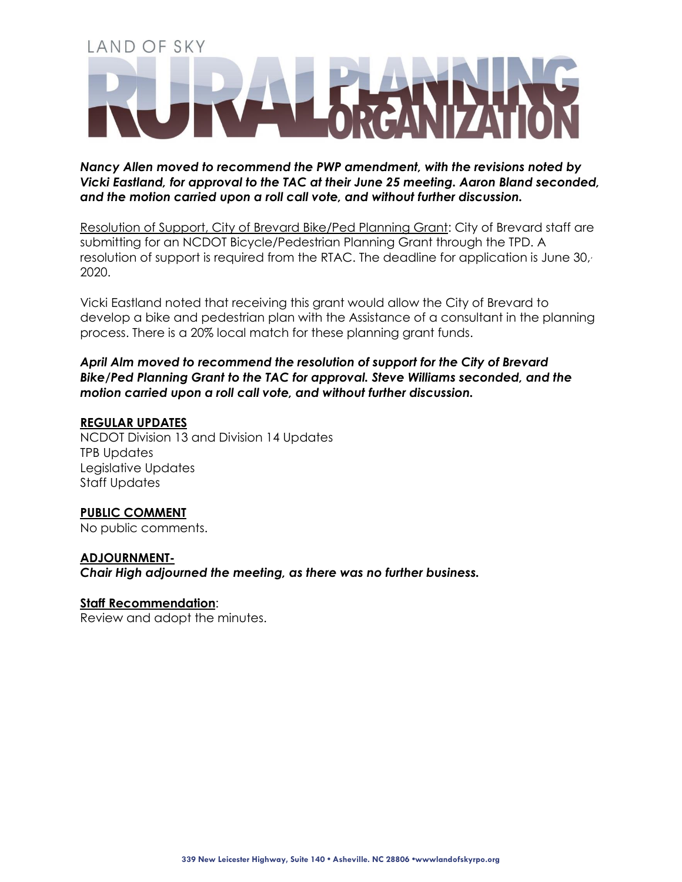*Nancy Allen moved to recommend the PWP amendment, with the revisions noted by Vicki Eastland, for approval to the TAC at their June 25 meeting. Aaron Bland seconded, and the motion carried upon a roll call vote, and without further discussion.*

Resolution of Support, City of Brevard Bike/Ped Planning Grant: City of Brevard staff are submitting for an NCDOT Bicycle/Pedestrian Planning Grant through the TPD. A resolution of support is required from the RTAC. The deadline for application is June 30, 2020.

Vicki Eastland noted that receiving this grant would allow the City of Brevard to develop a bike and pedestrian plan with the Assistance of a consultant in the planning process. There is a 20% local match for these planning grant funds.

*April Alm moved to recommend the resolution of support for the City of Brevard Bike/Ped Planning Grant to the TAC for approval. Steve Williams seconded, and the motion carried upon a roll call vote, and without further discussion.*

## **REGULAR UPDATES**

NCDOT Division 13 and Division 14 Updates TPB Updates Legislative Updates Staff Updates

## **PUBLIC COMMENT**

No public comments.

### **ADJOURNMENT-**

*Chair High adjourned the meeting, as there was no further business.* 

### **Staff Recommendation**:

Review and adopt the minutes.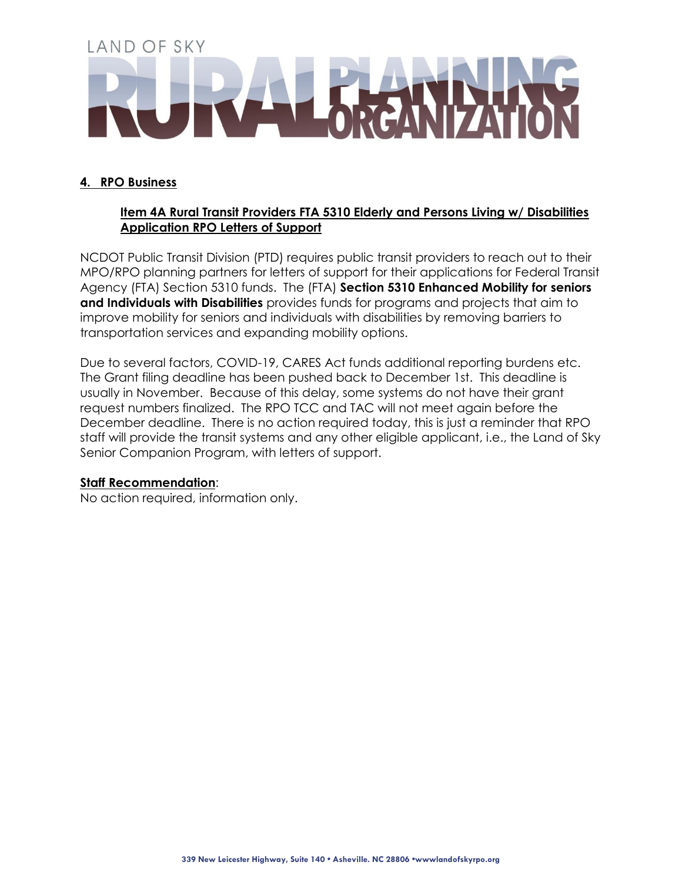# **4. RPO Business**

## **Item 4A Rural Transit Providers FTA 5310 Elderly and Persons Living w/ Disabilities Application RPO Letters of Support**

NCDOT Public Transit Division (PTD) requires public transit providers to reach out to their MPO/RPO planning partners for letters of support for their applications for Federal Transit Agency (FTA) Section 5310 funds. The (FTA) **Section 5310 Enhanced Mobility for seniors and Individuals with Disabilities** provides funds for programs and projects that aim to improve mobility for seniors and individuals with disabilities by removing barriers to transportation services and expanding mobility options.

Due to several factors, COVID-19, CARES Act funds additional reporting burdens etc. The Grant filing deadline has been pushed back to December 1st. This deadline is usually in November. Because of this delay, some systems do not have their grant request numbers finalized. The RPO TCC and TAC will not meet again before the December deadline. There is no action required today, this is just a reminder that RPO staff will provide the transit systems and any other eligible applicant, i.e., the Land of Sky Senior Companion Program, with letters of support.

## **Staff Recommendation**:

No action required, information only.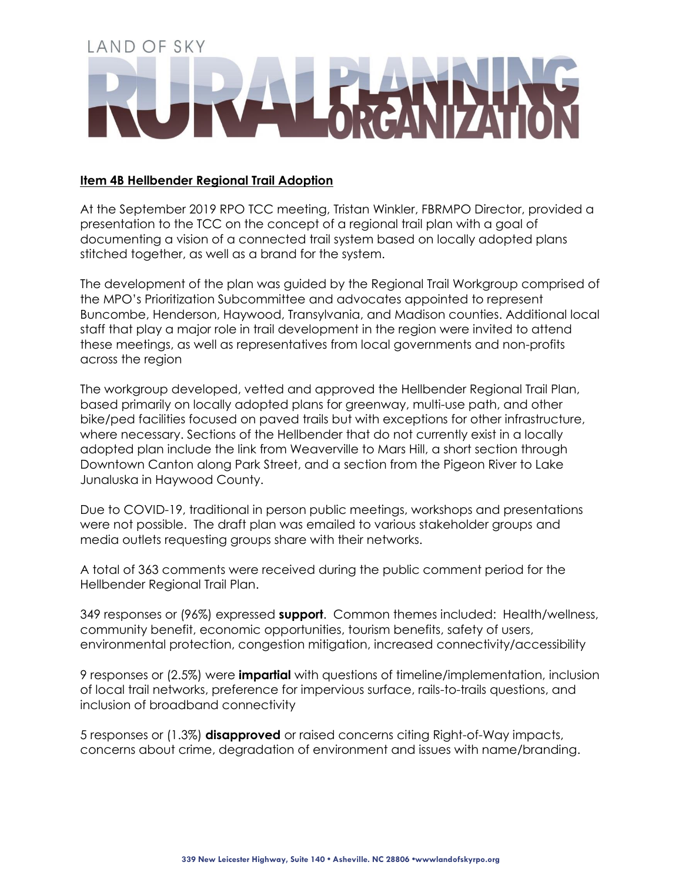## **Item 4B Hellbender Regional Trail Adoption**

At the September 2019 RPO TCC meeting, Tristan Winkler, FBRMPO Director, provided a presentation to the TCC on the concept of a regional trail plan with a goal of documenting a vision of a connected trail system based on locally adopted plans stitched together, as well as a brand for the system.

The development of the plan was guided by the Regional Trail Workgroup comprised of the MPO's Prioritization Subcommittee and advocates appointed to represent Buncombe, Henderson, Haywood, Transylvania, and Madison counties. Additional local staff that play a major role in trail development in the region were invited to attend these meetings, as well as representatives from local governments and non-profits across the region

The workgroup developed, vetted and approved the Hellbender Regional Trail Plan, based primarily on locally adopted plans for greenway, multi-use path, and other bike/ped facilities focused on paved trails but with exceptions for other infrastructure, where necessary. Sections of the Hellbender that do not currently exist in a locally adopted plan include the link from Weaverville to Mars Hill, a short section through Downtown Canton along Park Street, and a section from the Pigeon River to Lake Junaluska in Haywood County.

Due to COVID-19, traditional in person public meetings, workshops and presentations were not possible. The draft plan was emailed to various stakeholder groups and media outlets requesting groups share with their networks.

A total of 363 comments were received during the public comment period for the Hellbender Regional Trail Plan.

349 responses or (96%) expressed **support**. Common themes included: Health/wellness, community benefit, economic opportunities, tourism benefits, safety of users, environmental protection, congestion mitigation, increased connectivity/accessibility

9 responses or (2.5%) were **impartial** with questions of timeline/implementation, inclusion of local trail networks, preference for impervious surface, rails-to-trails questions, and inclusion of broadband connectivity

5 responses or (1.3%) **disapproved** or raised concerns citing Right-of-Way impacts, concerns about crime, degradation of environment and issues with name/branding.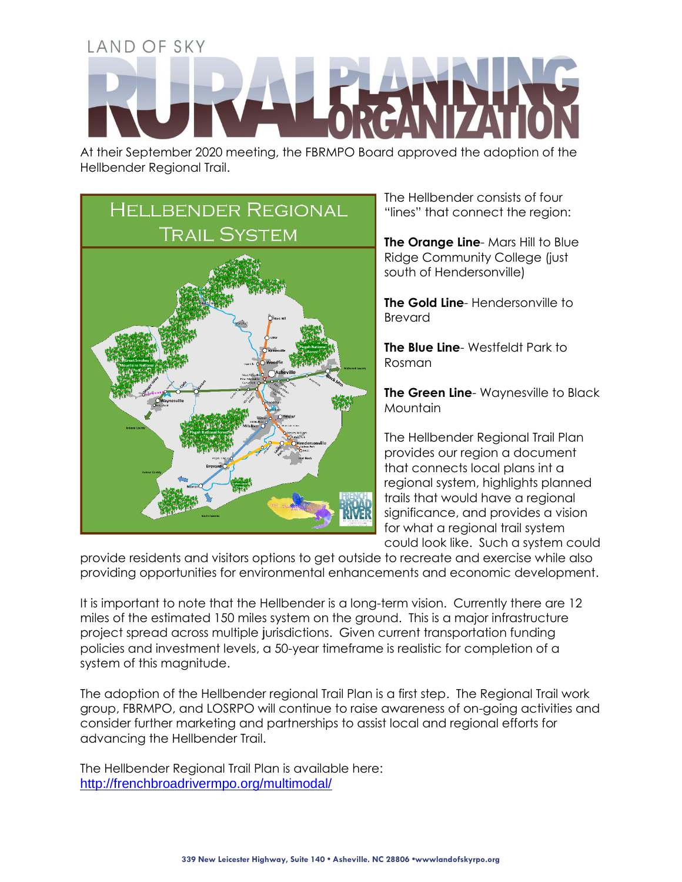At their September 2020 meeting, the FBRMPO Board approved the adoption of the Hellbender Regional Trail.



The Hellbender consists of four "lines" that connect the region:

**The Orange Line**- Mars Hill to Blue Ridge Community College (just south of Hendersonville)

**The Gold Line-** Hendersonville to Brevard

**The Blue Line**- Westfeldt Park to Rosman

**The Green Line**- Waynesville to Black Mountain

The Hellbender Regional Trail Plan provides our region a document that connects local plans int a regional system, highlights planned trails that would have a regional significance, and provides a vision for what a regional trail system could look like. Such a system could

provide residents and visitors options to get outside to recreate and exercise while also providing opportunities for environmental enhancements and economic development.

It is important to note that the Hellbender is a long-term vision. Currently there are 12 miles of the estimated 150 miles system on the ground. This is a major infrastructure project spread across multiple jurisdictions. Given current transportation funding policies and investment levels, a 50-year timeframe is realistic for completion of a system of this magnitude.

The adoption of the Hellbender regional Trail Plan is a first step. The Regional Trail work group, FBRMPO, and LOSRPO will continue to raise awareness of on-going activities and consider further marketing and partnerships to assist local and regional efforts for advancing the Hellbender Trail.

The Hellbender Regional Trail Plan is available here: <http://frenchbroadrivermpo.org/multimodal/>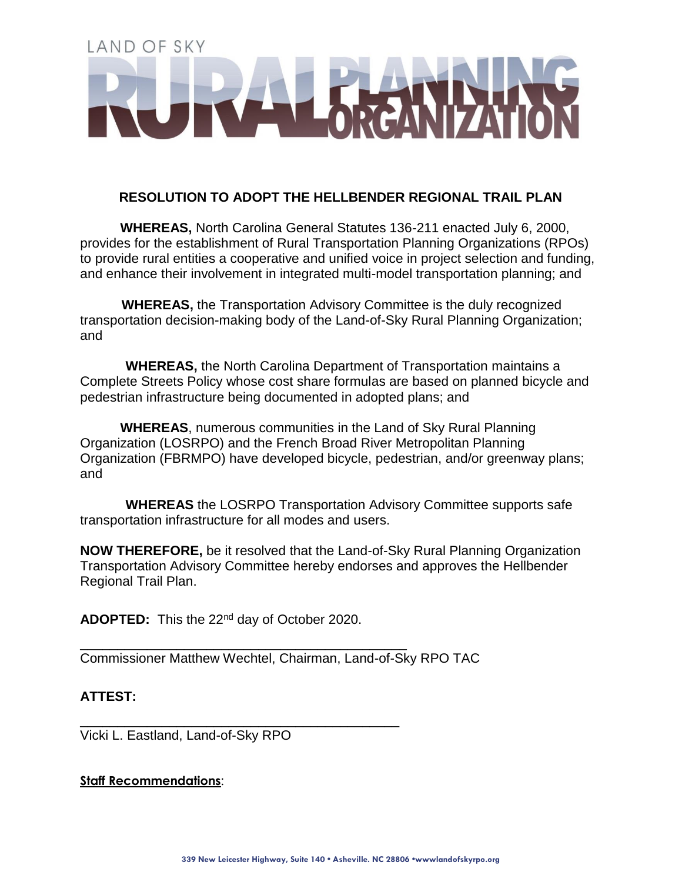# **RESOLUTION TO ADOPT THE HELLBENDER REGIONAL TRAIL PLAN**

**WHEREAS,** North Carolina General Statutes 136-211 enacted July 6, 2000, provides for the establishment of Rural Transportation Planning Organizations (RPOs) to provide rural entities a cooperative and unified voice in project selection and funding, and enhance their involvement in integrated multi-model transportation planning; and

**WHEREAS,** the Transportation Advisory Committee is the duly recognized transportation decision-making body of the Land-of-Sky Rural Planning Organization; and

**WHEREAS,** the North Carolina Department of Transportation maintains a Complete Streets Policy whose cost share formulas are based on planned bicycle and pedestrian infrastructure being documented in adopted plans; and

**WHEREAS**, numerous communities in the Land of Sky Rural Planning Organization (LOSRPO) and the French Broad River Metropolitan Planning Organization (FBRMPO) have developed bicycle, pedestrian, and/or greenway plans; and

**WHEREAS** the LOSRPO Transportation Advisory Committee supports safe transportation infrastructure for all modes and users.

**NOW THEREFORE,** be it resolved that the Land-of-Sky Rural Planning Organization Transportation Advisory Committee hereby endorses and approves the Hellbender Regional Trail Plan.

**ADOPTED:** This the 22nd day of October 2020.

\_\_\_\_\_\_\_\_\_\_\_\_\_\_\_\_\_\_\_\_\_\_\_\_\_\_\_\_\_\_\_\_\_\_\_\_\_\_\_\_\_\_\_\_

\_\_\_\_\_\_\_\_\_\_\_\_\_\_\_\_\_\_\_\_\_\_\_\_\_\_\_\_\_\_\_\_\_\_\_\_\_\_\_\_\_\_\_

Commissioner Matthew Wechtel, Chairman, Land-of-Sky RPO TAC

# **ATTEST:**

Vicki L. Eastland, Land-of-Sky RPO

## **Staff Recommendations**: